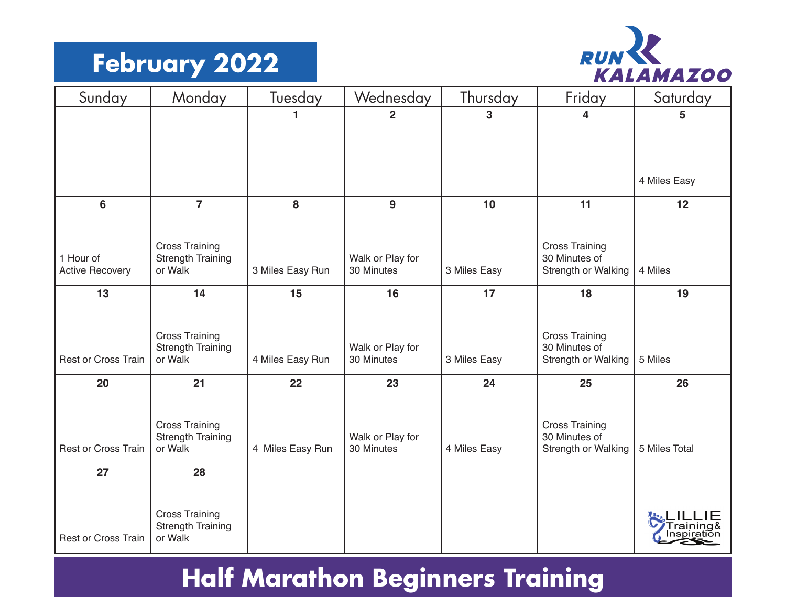#### **February 2022**



| Sunday                              | Monday                                            | Tuesday          | Wednesday                      | Thursday     | Friday                                 | Saturday      |
|-------------------------------------|---------------------------------------------------|------------------|--------------------------------|--------------|----------------------------------------|---------------|
|                                     |                                                   | 1.               | $\overline{2}$                 | 3            | 4                                      | 5             |
|                                     |                                                   |                  |                                |              |                                        |               |
|                                     |                                                   |                  |                                |              |                                        |               |
|                                     |                                                   |                  |                                |              |                                        | 4 Miles Easy  |
| $6\phantom{a}$                      | $\overline{7}$                                    | 8                | 9                              | 10           | 11                                     | 12            |
|                                     |                                                   |                  |                                |              |                                        |               |
|                                     | <b>Cross Training</b>                             |                  |                                |              | <b>Cross Training</b>                  |               |
| 1 Hour of<br><b>Active Recovery</b> | <b>Strength Training</b><br>or Walk               | 3 Miles Easy Run | Walk or Play for<br>30 Minutes | 3 Miles Easy | 30 Minutes of<br>Strength or Walking   | 4 Miles       |
|                                     |                                                   |                  |                                |              |                                        |               |
| 13                                  | 14                                                | 15               | 16                             | 17           | 18                                     | 19            |
|                                     |                                                   |                  |                                |              |                                        |               |
|                                     | <b>Cross Training</b><br><b>Strength Training</b> |                  | Walk or Play for               |              | <b>Cross Training</b><br>30 Minutes of |               |
| <b>Rest or Cross Train</b>          | or Walk                                           | 4 Miles Easy Run | 30 Minutes                     | 3 Miles Easy | Strength or Walking                    | 5 Miles       |
| 20                                  | 21                                                | 22               | 23                             | 24           | 25                                     | 26            |
|                                     |                                                   |                  |                                |              |                                        |               |
|                                     | <b>Cross Training</b>                             |                  |                                |              | <b>Cross Training</b>                  |               |
| <b>Rest or Cross Train</b>          | <b>Strength Training</b><br>or Walk               | 4 Miles Easy Run | Walk or Play for<br>30 Minutes | 4 Miles Easy | 30 Minutes of<br>Strength or Walking   | 5 Miles Total |
|                                     |                                                   |                  |                                |              |                                        |               |
| 27                                  | 28                                                |                  |                                |              |                                        |               |
|                                     |                                                   |                  |                                |              |                                        |               |
|                                     | <b>Cross Training</b><br><b>Strength Training</b> |                  |                                |              |                                        |               |
| Rest or Cross Train                 | or Walk                                           |                  |                                |              |                                        |               |

## **Half Marathon Beginners Training**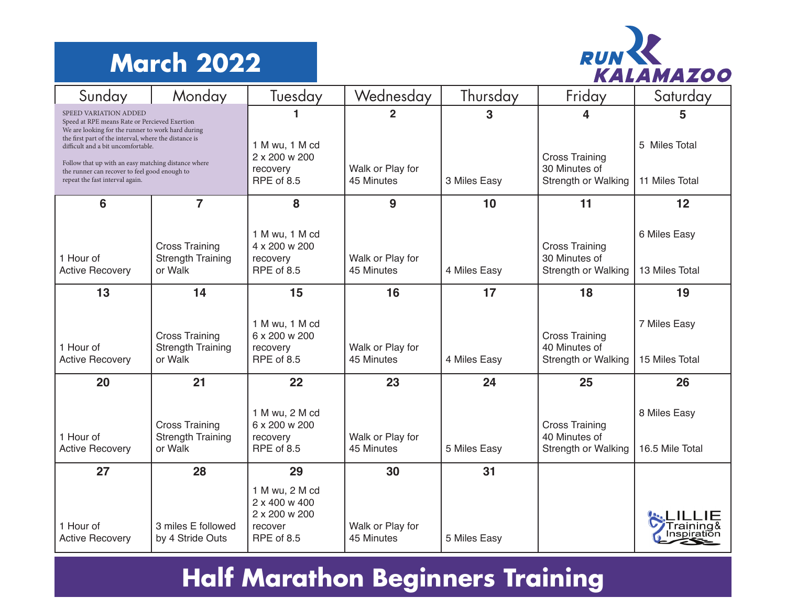## **March 2022**



| Sunday                                                                                                                                                                                                                                                                                                                                                                | Monday                                                       | Tuesday                                                                   | Wednesday                                      | Thursday          | Friday                                                                    | Saturday                             |
|-----------------------------------------------------------------------------------------------------------------------------------------------------------------------------------------------------------------------------------------------------------------------------------------------------------------------------------------------------------------------|--------------------------------------------------------------|---------------------------------------------------------------------------|------------------------------------------------|-------------------|---------------------------------------------------------------------------|--------------------------------------|
| SPEED VARIATION ADDED<br>Speed at RPE means Rate or Percieved Exertion<br>We are looking for the runner to work hard during<br>the first part of the interval, where the distance is<br>difficult and a bit uncomfortable.<br>Follow that up with an easy matching distance where<br>the runner can recover to feel good enough to<br>repeat the fast interval again. |                                                              | 1 M wu, 1 M cd<br>2 x 200 w 200<br>recovery<br>RPE of 8.5                 | $\mathbf{2}$<br>Walk or Play for<br>45 Minutes | 3<br>3 Miles Easy | 4<br><b>Cross Training</b><br>30 Minutes of<br><b>Strength or Walking</b> | 5<br>5 Miles Total<br>11 Miles Total |
| 6                                                                                                                                                                                                                                                                                                                                                                     | $\overline{7}$                                               | 8                                                                         | 9                                              | 10                | 11                                                                        | 12                                   |
| 1 Hour of<br><b>Active Recovery</b>                                                                                                                                                                                                                                                                                                                                   | <b>Cross Training</b><br><b>Strength Training</b><br>or Walk | 1 M wu, 1 M cd<br>4 x 200 w 200<br>recovery<br>RPE of 8.5                 | Walk or Play for<br>45 Minutes                 | 4 Miles Easy      | <b>Cross Training</b><br>30 Minutes of<br>Strength or Walking             | 6 Miles Easy<br>13 Miles Total       |
| 13                                                                                                                                                                                                                                                                                                                                                                    | 14                                                           | 15                                                                        | 16                                             | 17                | 18                                                                        | 19                                   |
| 1 Hour of<br><b>Active Recovery</b>                                                                                                                                                                                                                                                                                                                                   | <b>Cross Training</b><br><b>Strength Training</b><br>or Walk | 1 M wu, 1 M cd<br>6 x 200 w 200<br>recovery<br><b>RPE of 8.5</b>          | Walk or Play for<br>45 Minutes                 | 4 Miles Easy      | <b>Cross Training</b><br>40 Minutes of<br>Strength or Walking             | 7 Miles Easy<br>15 Miles Total       |
| 20                                                                                                                                                                                                                                                                                                                                                                    | 21                                                           | 22                                                                        | 23                                             | 24                | 25                                                                        | 26                                   |
| 1 Hour of<br><b>Active Recovery</b>                                                                                                                                                                                                                                                                                                                                   | <b>Cross Training</b><br><b>Strength Training</b><br>or Walk | 1 M wu, 2 M cd<br>6 x 200 w 200<br>recovery<br>RPE of 8.5                 | Walk or Play for<br>45 Minutes                 | 5 Miles Easy      | <b>Cross Training</b><br>40 Minutes of<br>Strength or Walking             | 8 Miles Easy<br>16.5 Mile Total      |
| 27                                                                                                                                                                                                                                                                                                                                                                    | 28                                                           | 29                                                                        | 30                                             | 31                |                                                                           |                                      |
| 1 Hour of<br><b>Active Recovery</b>                                                                                                                                                                                                                                                                                                                                   | 3 miles E followed<br>by 4 Stride Outs                       | 1 M wu, 2 M cd<br>2 x 400 w 400<br>2 x 200 w 200<br>recover<br>RPE of 8.5 | Walk or Play for<br>45 Minutes                 | 5 Miles Easy      |                                                                           |                                      |

# **Half Marathon Beginners Training**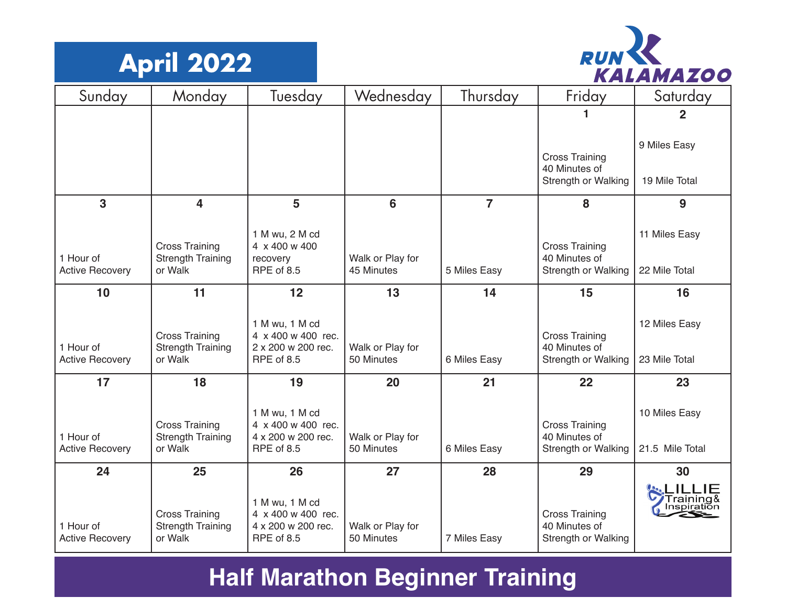



| Sunday                              | Monday                                                       | Tuesday                                                                  | Wednesday                      | Thursday       | Friday                                                               | Saturday                         |
|-------------------------------------|--------------------------------------------------------------|--------------------------------------------------------------------------|--------------------------------|----------------|----------------------------------------------------------------------|----------------------------------|
|                                     |                                                              |                                                                          |                                |                |                                                                      | $\overline{2}$                   |
|                                     |                                                              |                                                                          |                                |                | <b>Cross Training</b><br>40 Minutes of<br><b>Strength or Walking</b> | 9 Miles Easy<br>19 Mile Total    |
| 3                                   | $\overline{\mathbf{4}}$                                      | 5                                                                        | 6                              | $\overline{7}$ | 8                                                                    | 9                                |
| 1 Hour of<br><b>Active Recovery</b> | <b>Cross Training</b><br><b>Strength Training</b><br>or Walk | 1 M wu, 2 M cd<br>4 x 400 w 400<br>recovery<br>RPE of 8.5                | Walk or Play for<br>45 Minutes | 5 Miles Easy   | <b>Cross Training</b><br>40 Minutes of<br>Strength or Walking        | 11 Miles Easy<br>22 Mile Total   |
| 10                                  | 11                                                           | 12                                                                       | 13                             | 14             | 15                                                                   | 16                               |
| 1 Hour of<br><b>Active Recovery</b> | <b>Cross Training</b><br><b>Strength Training</b><br>or Walk | 1 M wu, 1 M cd<br>4 x 400 w 400 rec.<br>2 x 200 w 200 rec.<br>RPE of 8.5 | Walk or Play for<br>50 Minutes | 6 Miles Easy   | <b>Cross Training</b><br>40 Minutes of<br>Strength or Walking        | 12 Miles Easy<br>23 Mile Total   |
| 17                                  | 18                                                           | 19                                                                       | 20                             | 21             | 22                                                                   | 23                               |
| 1 Hour of<br><b>Active Recovery</b> | <b>Cross Training</b><br><b>Strength Training</b><br>or Walk | 1 M wu, 1 M cd<br>4 x 400 w 400 rec.<br>4 x 200 w 200 rec.<br>RPE of 8.5 | Walk or Play for<br>50 Minutes | 6 Miles Easy   | <b>Cross Training</b><br>40 Minutes of<br>Strength or Walking        | 10 Miles Easy<br>21.5 Mile Total |
| 24                                  | 25                                                           | 26                                                                       | 27                             | 28             | 29                                                                   | 30                               |
| 1 Hour of<br><b>Active Recovery</b> | <b>Cross Training</b><br><b>Strength Training</b><br>or Walk | 1 M wu, 1 M cd<br>4 x 400 w 400 rec.<br>4 x 200 w 200 rec.<br>RPE of 8.5 | Walk or Play for<br>50 Minutes | 7 Miles Easy   | <b>Cross Training</b><br>40 Minutes of<br>Strength or Walking        | Training&<br>Inspiration         |

#### **Half Marathon Beginner Training**